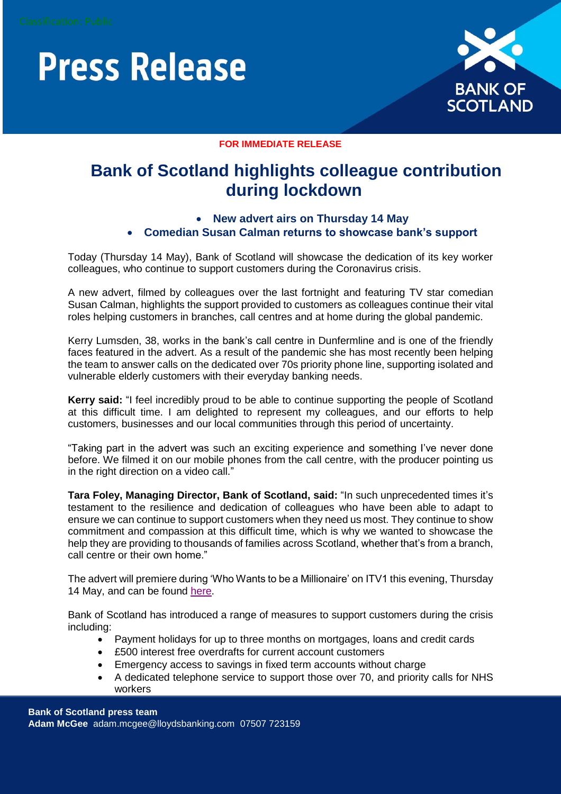# **Press Release**



#### **FOR IMMEDIATE RELEASE**

# **Bank of Scotland highlights colleague contribution during lockdown**

## **New advert airs on Thursday 14 May Comedian Susan Calman returns to showcase bank's support**

Today (Thursday 14 May), Bank of Scotland will showcase the dedication of its key worker colleagues, who continue to support customers during the Coronavirus crisis.

A new advert, filmed by colleagues over the last fortnight and featuring TV star comedian Susan Calman, highlights the support provided to customers as colleagues continue their vital roles helping customers in branches, call centres and at home during the global pandemic.

Kerry Lumsden, 38, works in the bank's call centre in Dunfermline and is one of the friendly faces featured in the advert. As a result of the pandemic she has most recently been helping the team to answer calls on the dedicated over 70s priority phone line, supporting isolated and vulnerable elderly customers with their everyday banking needs.

**Kerry said:** "I feel incredibly proud to be able to continue supporting the people of Scotland at this difficult time. I am delighted to represent my colleagues, and our efforts to help customers, businesses and our local communities through this period of uncertainty.

"Taking part in the advert was such an exciting experience and something I've never done before. We filmed it on our mobile phones from the call centre, with the producer pointing us in the right direction on a video call."

**Tara Foley, Managing Director, Bank of Scotland, said:** "In such unprecedented times it's testament to the resilience and dedication of colleagues who have been able to adapt to ensure we can continue to support customers when they need us most. They continue to show commitment and compassion at this difficult time, which is why we wanted to showcase the help they are providing to thousands of families across Scotland, whether that's from a branch, call centre or their own home."

The advert will premiere during 'Who Wants to be a Millionaire' on ITV1 this evening, Thursday 14 May, and can be found [here.](https://www.youtube.com/watch?v=BERoiWE9HpQ&feature=youtu.be)

Bank of Scotland has introduced a range of measures to support customers during the crisis including:

- Payment holidays for up to three months on mortgages, loans and credit cards
- £500 interest free overdrafts for current account customers
- Emergency access to savings in fixed term accounts without charge
- A dedicated telephone service to support those over 70, and priority calls for NHS workers